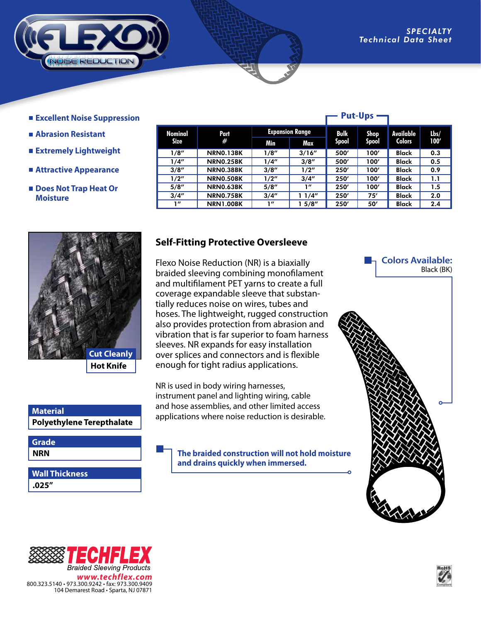

- **Excellent Noise Suppression**
- **Abrasion Resistant**
- **Extremely Lightweight**
- **Attractive Appearance**
- Does Not Trap Heat Or  **Moisture**

|                 | <b>Put-Ups</b>   |                        |        |              |              |               |      |
|-----------------|------------------|------------------------|--------|--------------|--------------|---------------|------|
| Nominal<br>Size | Part<br>#        | <b>Expansion Range</b> |        | Bulk         | Shop         | Available     | Lbs/ |
|                 |                  | Min                    | Max    | <b>Spool</b> | <b>Spool</b> | <b>Colors</b> | 100' |
| 1/8''           | NRNO.13BK        | 1/8''                  | 3/16'' | 500'         | 100'         | <b>Black</b>  | 0.3  |
| 1/4"            | NRNO.25BK        | 1/4"                   | 3/8''  | 500'         | 100'         | <b>Black</b>  | 0.5  |
| 3/8''           | NRNO.38BK        | 3/8''                  | 1/2"   | 250'         | 100'         | <b>Black</b>  | 0.9  |
| 1/2''           | NRNO.50BK        | 1/2"                   | 3/4''  | 250'         | 100'         | Black         | 1.1  |
| 5/8''           | <b>NRNO.63BK</b> | 5/8"                   | 1"     | 250'         | 100'         | <b>Black</b>  | 1.5  |
| 3/4''           | <b>NRNO.75BK</b> | 3/4''                  | 1/4''  | 250'         | 75'          | <b>Black</b>  | 2.0  |
| 111             | <b>NRN1.00BK</b> | 111                    | 5/8″   | 250'         | 50'          | <b>Black</b>  | 2.4  |



## **Material**

**NRN Grade**

**.025" Wall Thickness**

## **Self-Fitting Protective Oversleeve**

Flexo Noise Reduction (NR) is a biaxially braided sleeving combining monofilament and multifilament PET yarns to create a full coverage expandable sleeve that substantially reduces noise on wires, tubes and hoses. The lightweight, rugged construction also provides protection from abrasion and vibration that is far superior to foam harness sleeves. NR expands for easy installation over splices and connectors and is flexible enough for tight radius applications.

NR is used in body wiring harnesses, instrument panel and lighting wiring, cable and hose assemblies, and other limited access **Advertion**<br>**Polyethylene Terepthalate** applications where noise reduction is desirable.

> **The braided construction will not hold moisture and drains quickly when immersed.**